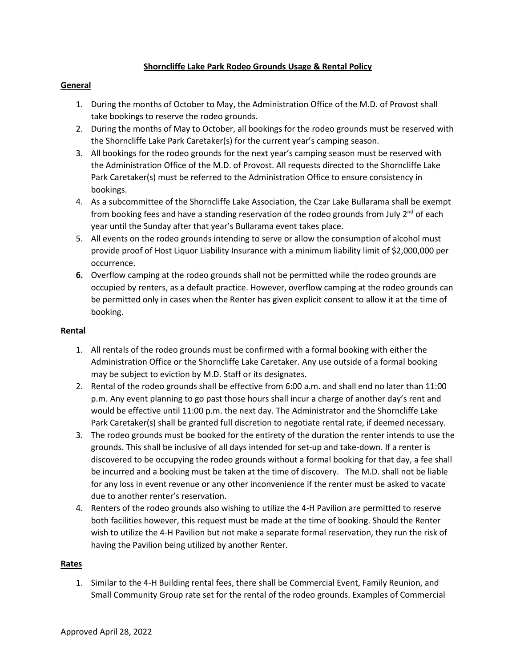## **Shorncliffe Lake Park Rodeo Grounds Usage & Rental Policy**

## **General**

- 1. During the months of October to May, the Administration Office of the M.D. of Provost shall take bookings to reserve the rodeo grounds.
- 2. During the months of May to October, all bookings for the rodeo grounds must be reserved with the Shorncliffe Lake Park Caretaker(s) for the current year's camping season.
- 3. All bookings for the rodeo grounds for the next year's camping season must be reserved with the Administration Office of the M.D. of Provost. All requests directed to the Shorncliffe Lake Park Caretaker(s) must be referred to the Administration Office to ensure consistency in bookings.
- 4. As a subcommittee of the Shorncliffe Lake Association, the Czar Lake Bullarama shall be exempt from booking fees and have a standing reservation of the rodeo grounds from July 2<sup>nd</sup> of each year until the Sunday after that year's Bullarama event takes place.
- 5. All events on the rodeo grounds intending to serve or allow the consumption of alcohol must provide proof of Host Liquor Liability Insurance with a minimum liability limit of \$2,000,000 per occurrence.
- **6.** Overflow camping at the rodeo grounds shall not be permitted while the rodeo grounds are occupied by renters, as a default practice. However, overflow camping at the rodeo grounds can be permitted only in cases when the Renter has given explicit consent to allow it at the time of booking.

## **Rental**

- 1. All rentals of the rodeo grounds must be confirmed with a formal booking with either the Administration Office or the Shorncliffe Lake Caretaker. Any use outside of a formal booking may be subject to eviction by M.D. Staff or its designates.
- 2. Rental of the rodeo grounds shall be effective from 6:00 a.m. and shall end no later than 11:00 p.m. Any event planning to go past those hours shall incur a charge of another day's rent and would be effective until 11:00 p.m. the next day. The Administrator and the Shorncliffe Lake Park Caretaker(s) shall be granted full discretion to negotiate rental rate, if deemed necessary.
- 3. The rodeo grounds must be booked for the entirety of the duration the renter intends to use the grounds. This shall be inclusive of all days intended for set-up and take-down. If a renter is discovered to be occupying the rodeo grounds without a formal booking for that day, a fee shall be incurred and a booking must be taken at the time of discovery. The M.D. shall not be liable for any loss in event revenue or any other inconvenience if the renter must be asked to vacate due to another renter's reservation.
- 4. Renters of the rodeo grounds also wishing to utilize the 4-H Pavilion are permitted to reserve both facilities however, this request must be made at the time of booking. Should the Renter wish to utilize the 4-H Pavilion but not make a separate formal reservation, they run the risk of having the Pavilion being utilized by another Renter.

## **Rates**

1. Similar to the 4-H Building rental fees, there shall be Commercial Event, Family Reunion, and Small Community Group rate set for the rental of the rodeo grounds. Examples of Commercial